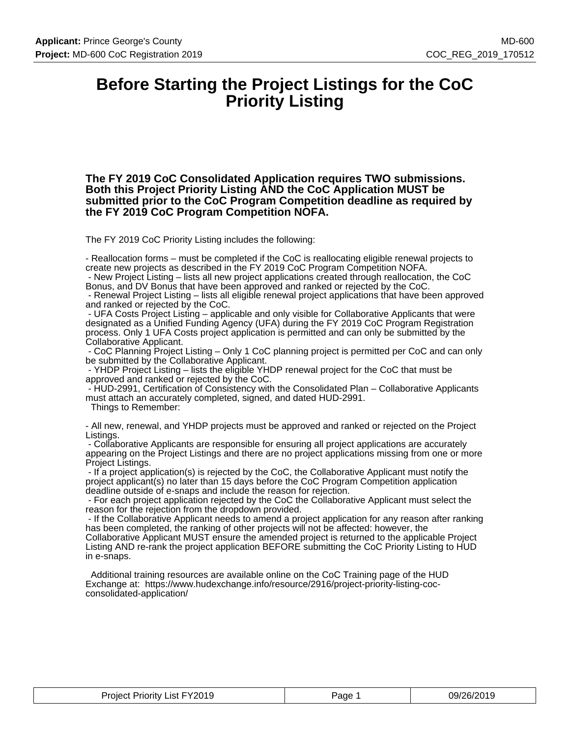### **Before Starting the Project Listings for the CoC Priority Listing**

**The FY 2019 CoC Consolidated Application requires TWO submissions. Both this Project Priority Listing AND the CoC Application MUST be submitted prior to the CoC Program Competition deadline as required by the FY 2019 CoC Program Competition NOFA.**

The FY 2019 CoC Priority Listing includes the following:

- Reallocation forms – must be completed if the CoC is reallocating eligible renewal projects to create new projects as described in the FY 2019 CoC Program Competition NOFA. - New Project Listing – lists all new project applications created through reallocation, the CoC

Bonus, and DV Bonus that have been approved and ranked or rejected by the CoC.

 - Renewal Project Listing – lists all eligible renewal project applications that have been approved and ranked or rejected by the CoC.

 - UFA Costs Project Listing – applicable and only visible for Collaborative Applicants that were designated as a Unified Funding Agency (UFA) during the FY 2019 CoC Program Registration process. Only 1 UFA Costs project application is permitted and can only be submitted by the Collaborative Applicant.

 - CoC Planning Project Listing – Only 1 CoC planning project is permitted per CoC and can only be submitted by the Collaborative Applicant.

 - YHDP Project Listing – lists the eligible YHDP renewal project for the CoC that must be approved and ranked or rejected by the CoC.

 - HUD-2991, Certification of Consistency with the Consolidated Plan – Collaborative Applicants must attach an accurately completed, signed, and dated HUD-2991.

Things to Remember:

- All new, renewal, and YHDP projects must be approved and ranked or rejected on the Project Listings.

 - Collaborative Applicants are responsible for ensuring all project applications are accurately appearing on the Project Listings and there are no project applications missing from one or more Project Listings.

 - If a project application(s) is rejected by the CoC, the Collaborative Applicant must notify the project applicant(s) no later than 15 days before the CoC Program Competition application deadline outside of e-snaps and include the reason for rejection.

 - For each project application rejected by the CoC the Collaborative Applicant must select the reason for the rejection from the dropdown provided.

 - If the Collaborative Applicant needs to amend a project application for any reason after ranking has been completed, the ranking of other projects will not be affected: however, the Collaborative Applicant MUST ensure the amended project is returned to the applicable Project Listing AND re-rank the project application BEFORE submitting the CoC Priority Listing to HUD in e-snaps.

 Additional training resources are available online on the CoC Training page of the HUD Exchange at: https://www.hudexchange.info/resource/2916/project-priority-listing-cocconsolidated-application/

| Priority List FY2019<br>Project '<br>______ | Page | 09/26/2019<br>$\sim$ |
|---------------------------------------------|------|----------------------|
|---------------------------------------------|------|----------------------|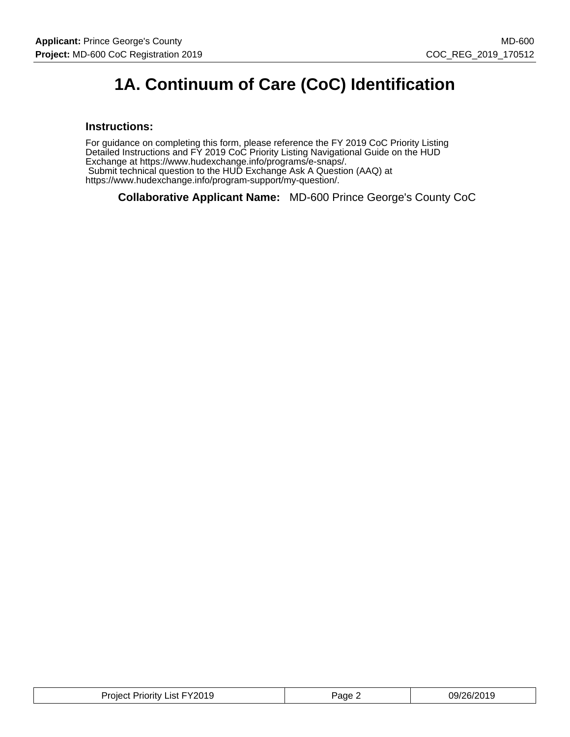# **1A. Continuum of Care (CoC) Identification**

### **Instructions:**

For guidance on completing this form, please reference the FY 2019 CoC Priority Listing Detailed Instructions and FY 2019 CoC Priority Listing Navigational Guide on the HUD Exchange at https://www.hudexchange.info/programs/e-snaps/. Submit technical question to the HUD Exchange Ask A Question (AAQ) at https://www.hudexchange.info/program-support/my-question/.

**Collaborative Applicant Name:** MD-600 Prince George's County CoC

| Project Priority List FY2019 | Page. | 09/26/2019 |
|------------------------------|-------|------------|
|------------------------------|-------|------------|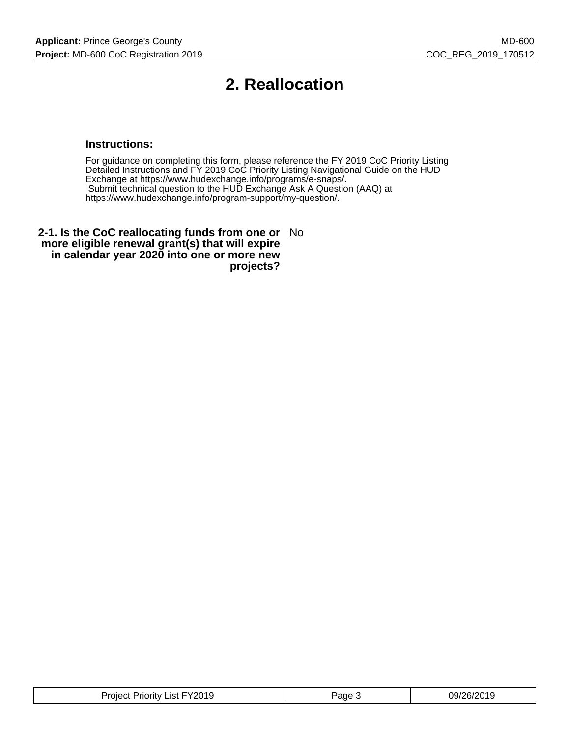# **2. Reallocation**

### **Instructions:**

For guidance on completing this form, please reference the FY 2019 CoC Priority Listing Detailed Instructions and FY 2019 CoC Priority Listing Navigational Guide on the HUD Exchange at https://www.hudexchange.info/programs/e-snaps/. Submit technical question to the HUD Exchange Ask A Question (AAQ) at https://www.hudexchange.info/program-support/my-question/.

**2-1. Is the CoC reallocating funds from one or** No **more eligible renewal grant(s) that will expire in calendar year 2020 into one or more new projects?**

| Project Priority List FY2019 | Page J | 09/26/2019 |
|------------------------------|--------|------------|
|------------------------------|--------|------------|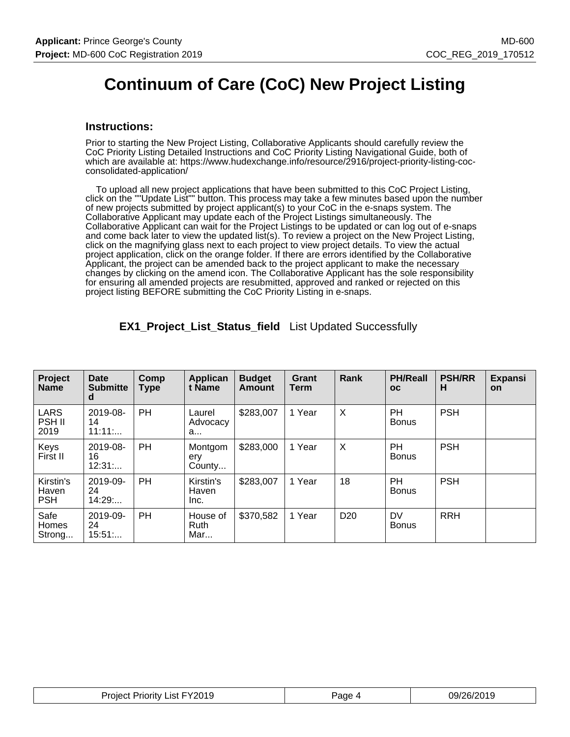# **Continuum of Care (CoC) New Project Listing**

### **Instructions:**

Prior to starting the New Project Listing, Collaborative Applicants should carefully review the CoC Priority Listing Detailed Instructions and CoC Priority Listing Navigational Guide, both of which are available at: https://www.hudexchange.info/resource/2916/project-priority-listing-cocconsolidated-application/

 To upload all new project applications that have been submitted to this CoC Project Listing, click on the ""Update List"" button. This process may take a few minutes based upon the number of new projects submitted by project applicant(s) to your CoC in the e-snaps system. The Collaborative Applicant may update each of the Project Listings simultaneously. The Collaborative Applicant can wait for the Project Listings to be updated or can log out of e-snaps and come back later to view the updated list(s). To review a project on the New Project Listing, click on the magnifying glass next to each project to view project details. To view the actual project application, click on the orange folder. If there are errors identified by the Collaborative Applicant, the project can be amended back to the project applicant to make the necessary changes by clicking on the amend icon. The Collaborative Applicant has the sole responsibility for ensuring all amended projects are resubmitted, approved and ranked or rejected on this project listing BEFORE submitting the CoC Priority Listing in e-snaps.

| Project<br><b>Name</b>               | Date<br><b>Submitte</b><br>d | Comp<br><b>Type</b> | Applican<br>t Name             | <b>Budget</b><br><b>Amount</b> | Grant<br>Term | Rank            | <b>PH/Reall</b><br><b>OC</b> | <b>PSH/RR</b><br>н | <b>Expansi</b><br><b>on</b> |
|--------------------------------------|------------------------------|---------------------|--------------------------------|--------------------------------|---------------|-----------------|------------------------------|--------------------|-----------------------------|
| <b>LARS</b><br><b>PSH II</b><br>2019 | 2019-08-<br>14<br>11:11:     | <b>PH</b>           | Laurel<br>Advocacy<br>a        | \$283,007                      | 1 Year        | $\times$        | <b>PH</b><br><b>Bonus</b>    | <b>PSH</b>         |                             |
| Keys<br>First II                     | 2019-08-<br>16<br>12:31      | <b>PH</b>           | Montgom<br>ery<br>County       | \$283,000                      | 1 Year        | $\times$        | <b>PH</b><br><b>Bonus</b>    | <b>PSH</b>         |                             |
| Kirstin's<br>Haven<br><b>PSH</b>     | 2019-09-<br>24<br>14:29      | <b>PH</b>           | Kirstin's<br>Haven<br>Inc.     | \$283,007                      | 1 Year        | 18              | <b>PH</b><br><b>Bonus</b>    | <b>PSH</b>         |                             |
| Safe<br>Homes<br>Strong              | 2019-09-<br>24<br>15:51      | PH                  | House of<br><b>Ruth</b><br>Mar | \$370,582                      | 1 Year        | D <sub>20</sub> | <b>DV</b><br><b>Bonus</b>    | <b>RRH</b>         |                             |

**EX1\_Project\_List\_Status\_field** List Updated Successfully

| <b>Project Priority List FY2019</b><br>_____ | Page | 09/26/2019 |
|----------------------------------------------|------|------------|
|----------------------------------------------|------|------------|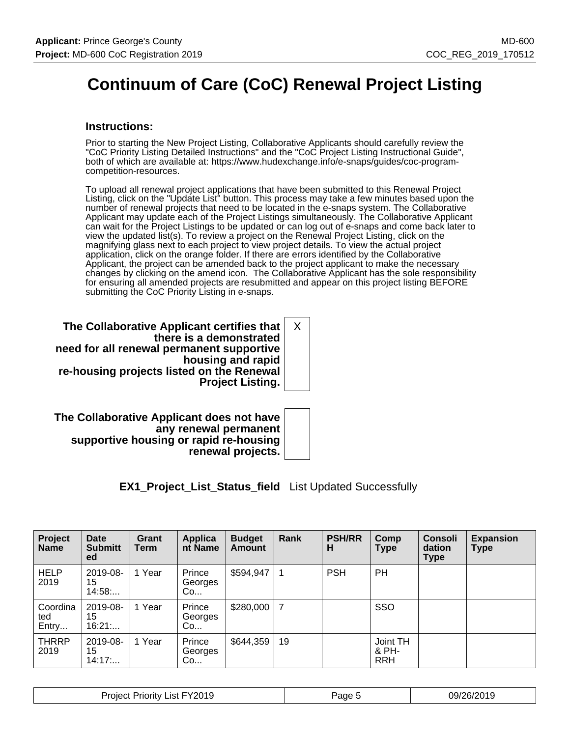# **Continuum of Care (CoC) Renewal Project Listing**

### **Instructions:**

Prior to starting the New Project Listing, Collaborative Applicants should carefully review the "CoC Priority Listing Detailed Instructions" and the "CoC Project Listing Instructional Guide", both of which are available at: https://www.hudexchange.info/e-snaps/guides/coc-programcompetition-resources.

To upload all renewal project applications that have been submitted to this Renewal Project Listing, click on the "Update List" button. This process may take a few minutes based upon the number of renewal projects that need to be located in the e-snaps system. The Collaborative Applicant may update each of the Project Listings simultaneously. The Collaborative Applicant can wait for the Project Listings to be updated or can log out of e-snaps and come back later to view the updated list(s). To review a project on the Renewal Project Listing, click on the magnifying glass next to each project to view project details. To view the actual project application, click on the orange folder. If there are errors identified by the Collaborative Applicant, the project can be amended back to the project applicant to make the necessary changes by clicking on the amend icon. The Collaborative Applicant has the sole responsibility for ensuring all amended projects are resubmitted and appear on this project listing BEFORE submitting the CoC Priority Listing in e-snaps.

**The Collaborative Applicant certifies that there is a demonstrated need for all renewal permanent supportive housing and rapid re-housing projects listed on the Renewal Project Listing.** X

**The Collaborative Applicant does not have any renewal permanent supportive housing or rapid re-housing renewal projects.**

**EX1\_Project\_List\_Status\_field** List Updated Successfully

| Project<br><b>Name</b>   | <b>Date</b><br><b>Submitt</b><br>ed | Grant<br>Term | Applica<br>nt Name      | <b>Budget</b><br><b>Amount</b> | Rank           | <b>PSH/RR</b><br>н | Comp<br>Type                    | <b>Consoli</b><br>dation<br><b>Type</b> | <b>Expansion</b><br><b>Type</b> |
|--------------------------|-------------------------------------|---------------|-------------------------|--------------------------------|----------------|--------------------|---------------------------------|-----------------------------------------|---------------------------------|
| <b>HELP</b><br>2019      | 2019-08-<br>15<br>14:58             | 1 Year        | Prince<br>Georges<br>Co | \$594,947                      | -1             | <b>PSH</b>         | PH                              |                                         |                                 |
| Coordina<br>ted<br>Entry | 2019-08-<br>15<br>16:21             | 1 Year        | Prince<br>Georges<br>Co | \$280,000                      | $\overline{7}$ |                    | SSO                             |                                         |                                 |
| <b>THRRP</b><br>2019     | 2019-08-<br>15<br>14:17             | 1 Year        | Prince<br>Georges<br>Co | \$644,359                      | 19             |                    | Joint TH<br>& PH-<br><b>RRH</b> |                                         |                                 |

| Y2019<br><b>Project</b><br>ict.<br>.<br>ʻrior<br>ritv<br>וסו | .<br>$\sim$ . The set of $\sim$<br>au | 09/<br>. הוריי<br>ว/า 4<br>2 U I J<br>., |
|--------------------------------------------------------------|---------------------------------------|------------------------------------------|
|--------------------------------------------------------------|---------------------------------------|------------------------------------------|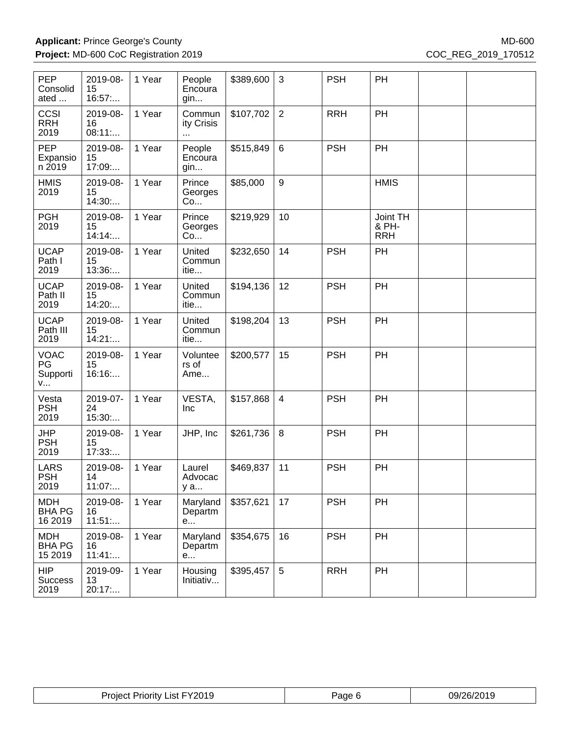| PEP<br>Consolid<br>ated                | 2019-08-<br>15<br>16:57  | 1 Year | People<br>Encoura<br>gin          | \$389,600 | 3               | <b>PSH</b> | PH                              |  |
|----------------------------------------|--------------------------|--------|-----------------------------------|-----------|-----------------|------------|---------------------------------|--|
| CCSI<br><b>RRH</b><br>2019             | 2019-08-<br>16<br>08:11  | 1 Year | Commun<br>ity Crisis<br>$\ddotsc$ | \$107,702 | 2               | <b>RRH</b> | PH                              |  |
| <b>PEP</b><br>Expansio<br>n 2019       | 2019-08-<br>15<br>17:09: | 1 Year | People<br>Encoura<br>gin          | \$515,849 | 6               | <b>PSH</b> | PH                              |  |
| <b>HMIS</b><br>2019                    | 2019-08-<br>15<br>14:30  | 1 Year | Prince<br>Georges<br>Co           | \$85,000  | 9               |            | <b>HMIS</b>                     |  |
| <b>PGH</b><br>2019                     | 2019-08-<br>15<br>14:14  | 1 Year | Prince<br>Georges<br>Co           | \$219,929 | 10              |            | Joint TH<br>& PH-<br><b>RRH</b> |  |
| <b>UCAP</b><br>Path I<br>2019          | 2019-08-<br>15<br>13:36: | 1 Year | United<br>Commun<br>itie          | \$232,650 | 14              | <b>PSH</b> | PH                              |  |
| <b>UCAP</b><br>Path II<br>2019         | 2019-08-<br>15<br>14:20: | 1 Year | United<br>Commun<br>itie          | \$194,136 | 12              | <b>PSH</b> | PH                              |  |
| <b>UCAP</b><br>Path III<br>2019        | 2019-08-<br>15<br>14:21  | 1 Year | United<br>Commun<br>itie          | \$198,204 | 13              | <b>PSH</b> | PH                              |  |
| <b>VOAC</b><br>PG<br>Supporti<br>v     | 2019-08-<br>15<br>16:16  | 1 Year | Voluntee<br>rs of<br>Ame          | \$200,577 | 15              | <b>PSH</b> | PH                              |  |
| Vesta<br><b>PSH</b><br>2019            | 2019-07-<br>24<br>15:30: | 1 Year | VESTA,<br>Inc                     | \$157,868 | $\overline{4}$  | <b>PSH</b> | PH                              |  |
| <b>JHP</b><br><b>PSH</b><br>2019       | 2019-08-<br>15<br>17:33: | 1 Year | JHP, Inc                          | \$261,736 | 8               | <b>PSH</b> | PH                              |  |
| <b>LARS</b><br><b>PSH</b><br>2019      | 2019-08-<br>14<br>11:07  | 1 Year | Laurel<br>Advocac<br>y a          | \$469,837 | 11              | <b>PSH</b> | PH                              |  |
| <b>MDH</b><br><b>BHA PG</b><br>16 2019 | 2019-08-<br>16<br>11:51  | 1 Year | Maryland<br>Departm<br>e          | \$357,621 | 17              | <b>PSH</b> | PH                              |  |
| <b>MDH</b><br><b>BHA PG</b><br>15 2019 | 2019-08-<br>16<br>11:41  | 1 Year | Maryland<br>Departm<br>e          | \$354,675 | 16              | <b>PSH</b> | PH                              |  |
| <b>HIP</b><br><b>Success</b><br>2019   | 2019-09-<br>13<br>20:17: | 1 Year | Housing<br>Initiativ              | \$395,457 | $5\phantom{.0}$ | <b>RRH</b> | PH                              |  |

| . | EV2019<br>Project<br>.ist l<br>'rıorıtv<br>ZU<br>- 152 | Page | שפח<br>07 Z L<br>ьc |
|---|--------------------------------------------------------|------|---------------------|
|---|--------------------------------------------------------|------|---------------------|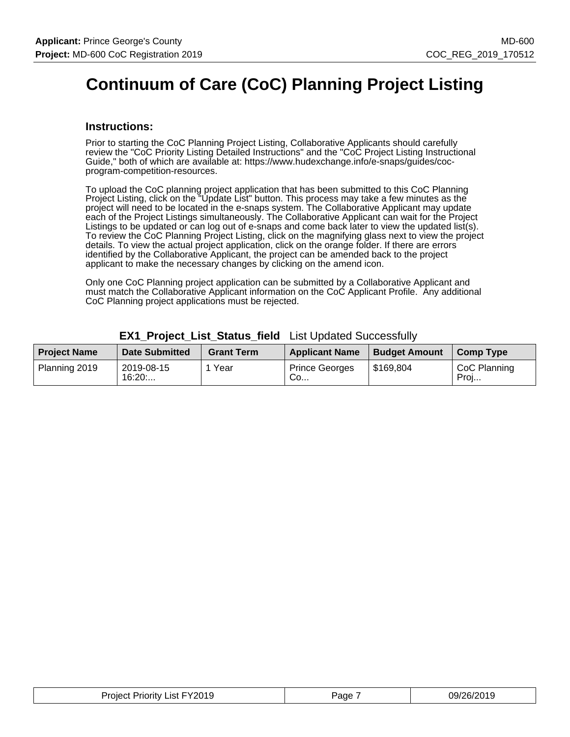# **Continuum of Care (CoC) Planning Project Listing**

### **Instructions:**

Prior to starting the CoC Planning Project Listing, Collaborative Applicants should carefully review the "CoC Priority Listing Detailed Instructions" and the "CoC Project Listing Instructional Guide," both of which are available at: https://www.hudexchange.info/e-snaps/guides/cocprogram-competition-resources.

To upload the CoC planning project application that has been submitted to this CoC Planning Project Listing, click on the "Update List" button. This process may take a few minutes as the project will need to be located in the e-snaps system. The Collaborative Applicant may update each of the Project Listings simultaneously. The Collaborative Applicant can wait for the Project Listings to be updated or can log out of e-snaps and come back later to view the updated list(s). To review the CoC Planning Project Listing, click on the magnifying glass next to view the project details. To view the actual project application, click on the orange folder. If there are errors identified by the Collaborative Applicant, the project can be amended back to the project applicant to make the necessary changes by clicking on the amend icon.

Only one CoC Planning project application can be submitted by a Collaborative Applicant and must match the Collaborative Applicant information on the CoC Applicant Profile. Any additional CoC Planning project applications must be rejected.

| <b>Project Name</b> | <b>Date Submitted</b> | <b>Grant Term</b> | <b>Applicant Name</b>                  | <b>Budget Amount</b> | Comp Type            |
|---------------------|-----------------------|-------------------|----------------------------------------|----------------------|----------------------|
| Planning 2019       | 2019-08-15<br>16:20:  | Year              | <b>Prince Georges</b><br>$^{\circ}$ Co | \$169,804            | CoC Planning<br>Proj |

### **EX1\_Project\_List\_Status\_field** List Updated Successfully

| Project Priority List FY2019 | Paɑe | 09/26/2019 |
|------------------------------|------|------------|
|------------------------------|------|------------|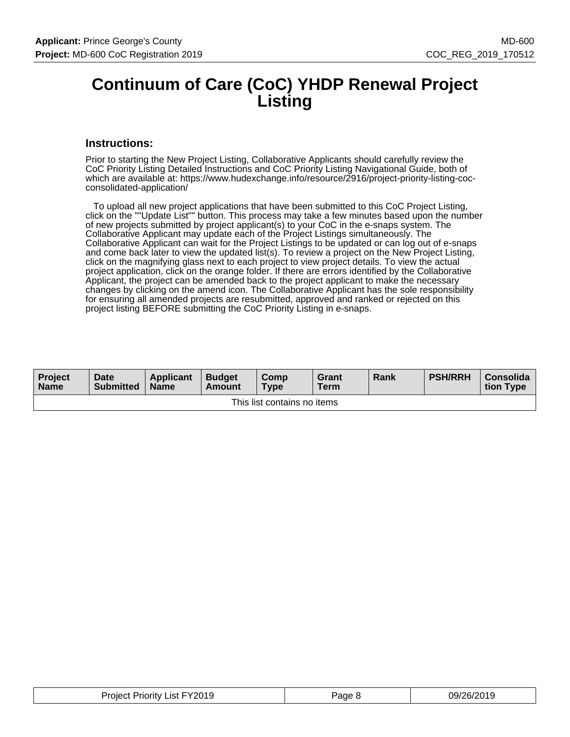### **Continuum of Care (CoC) YHDP Renewal Project Listing**

### **Instructions:**

Prior to starting the New Project Listing, Collaborative Applicants should carefully review the CoC Priority Listing Detailed Instructions and CoC Priority Listing Navigational Guide, both of which are available at: https://www.hudexchange.info/resource/2916/project-priority-listing-cocconsolidated-application/

 To upload all new project applications that have been submitted to this CoC Project Listing, click on the ""Update List"" button. This process may take a few minutes based upon the number of new projects submitted by project applicant(s) to your CoC in the e-snaps system. The Collaborative Applicant may update each of the Project Listings simultaneously. The Collaborative Applicant can wait for the Project Listings to be updated or can log out of e-snaps and come back later to view the updated list(s). To review a project on the New Project Listing, click on the magnifying glass next to each project to view project details. To view the actual project application, click on the orange folder. If there are errors identified by the Collaborative Applicant, the project can be amended back to the project applicant to make the necessary changes by clicking on the amend icon. The Collaborative Applicant has the sole responsibility for ensuring all amended projects are resubmitted, approved and ranked or rejected on this project listing BEFORE submitting the CoC Priority Listing in e-snaps.

| <b>Project</b><br><b>Name</b> | Date<br><b>Submitted</b> | <b>Applicant</b><br><b>Name</b> | <b>Budget</b><br>Amount | <b>Comp</b><br>$T$ <sub>VDe</sub> | Grant<br><b>Term</b> | <b>Rank</b> | <b>PSH/RRH</b> | Consolida<br>tion Type |  |
|-------------------------------|--------------------------|---------------------------------|-------------------------|-----------------------------------|----------------------|-------------|----------------|------------------------|--|
| This list contains no items   |                          |                                 |                         |                                   |                      |             |                |                        |  |

| <b>Project Priority List FY2019</b> | Page 8 | 09/26/2019 |
|-------------------------------------|--------|------------|
|-------------------------------------|--------|------------|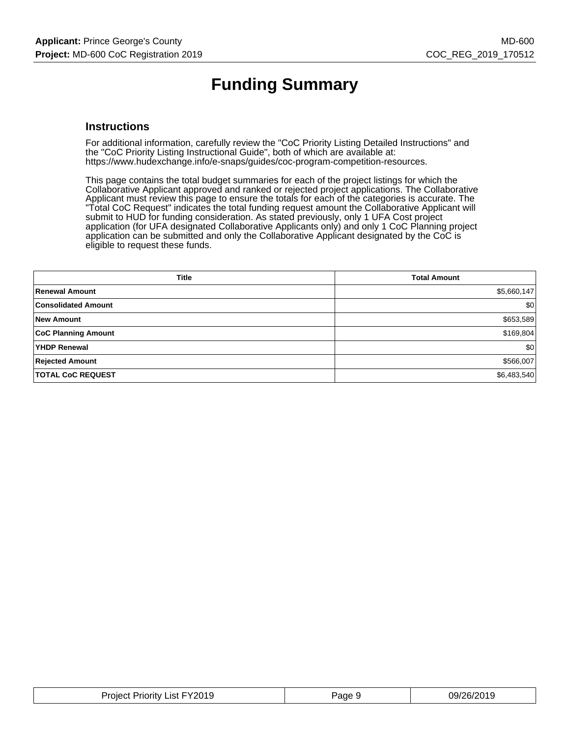# **Funding Summary**

### **Instructions**

For additional information, carefully review the "CoC Priority Listing Detailed Instructions" and the "CoC Priority Listing Instructional Guide", both of which are available at: https://www.hudexchange.info/e-snaps/guides/coc-program-competition-resources.

This page contains the total budget summaries for each of the project listings for which the Collaborative Applicant approved and ranked or rejected project applications. The Collaborative Applicant must review this page to ensure the totals for each of the categories is accurate. The "Total CoC Request" indicates the total funding request amount the Collaborative Applicant will submit to HUD for funding consideration. As stated previously, only 1 UFA Cost project application (for UFA designated Collaborative Applicants only) and only 1 CoC Planning project application can be submitted and only the Collaborative Applicant designated by the CoC is eligible to request these funds.

| <b>Title</b>               | <b>Total Amount</b> |
|----------------------------|---------------------|
| Renewal Amount             | \$5,660,147         |
| <b>Consolidated Amount</b> | \$0                 |
| <b>New Amount</b>          | \$653,589           |
| <b>CoC Planning Amount</b> | \$169,804           |
| YHDP Renewal               | \$0                 |
| <b>Rejected Amount</b>     | \$566,007           |
| <b>TOTAL CoC REQUEST</b>   | \$6,483,540         |

| FY2019<br>Priorit∨<br>∟ıst F<br>Project | 'ane | . מריי<br>, סר<br>1711<br>. |
|-----------------------------------------|------|-----------------------------|
|                                         |      |                             |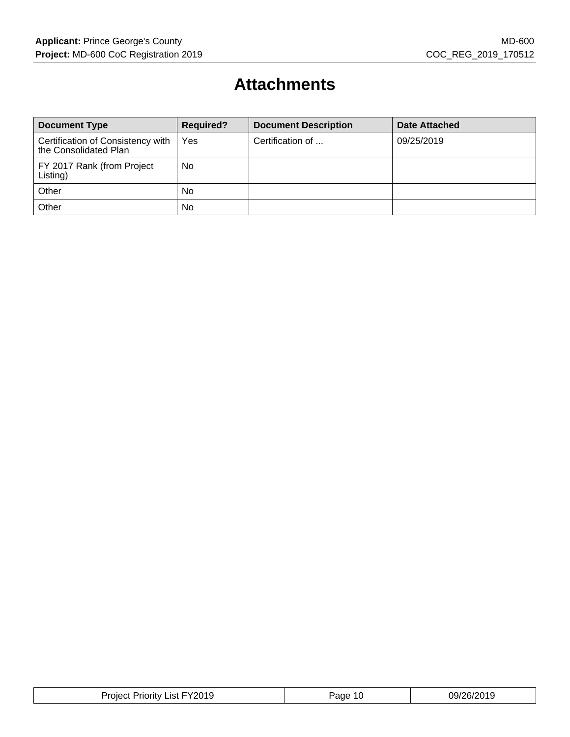# **Attachments**

| <b>Document Type</b>                                       | <b>Required?</b> | <b>Document Description</b> | Date Attached |
|------------------------------------------------------------|------------------|-----------------------------|---------------|
| Certification of Consistency with<br>the Consolidated Plan | Yes              | Certification of            | 09/25/2019    |
| FY 2017 Rank (from Project<br>Listing)                     | No               |                             |               |
| Other                                                      | <b>No</b>        |                             |               |
| Other                                                      | <b>No</b>        |                             |               |

| FY2019<br>Proiect<br>Priority .<br>List | Page<br>16. | 09/26/2019 |
|-----------------------------------------|-------------|------------|
|-----------------------------------------|-------------|------------|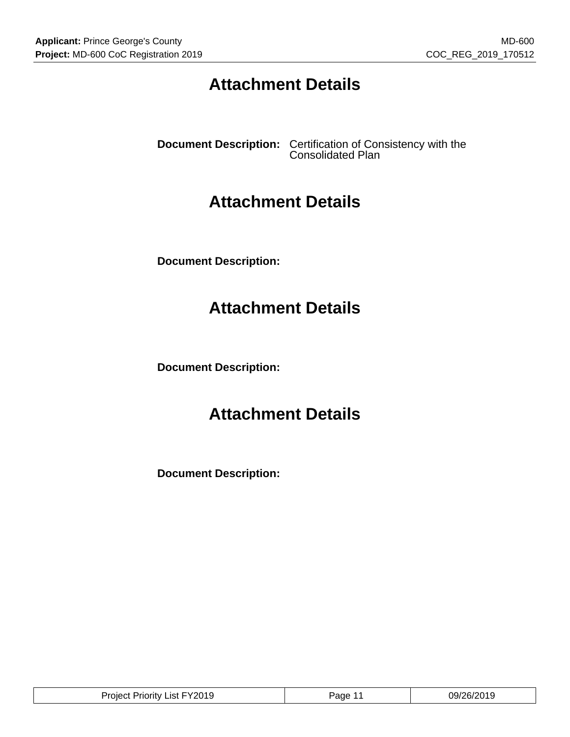# **Attachment Details**

**Document Description:** Certification of Consistency with the Consolidated Plan

### **Attachment Details**

**Document Description:**

### **Attachment Details**

**Document Description:**

# **Attachment Details**

**Document Description:**

| <b>Project Priority List FY2019</b> | Page | 09/26/2019 |
|-------------------------------------|------|------------|
|-------------------------------------|------|------------|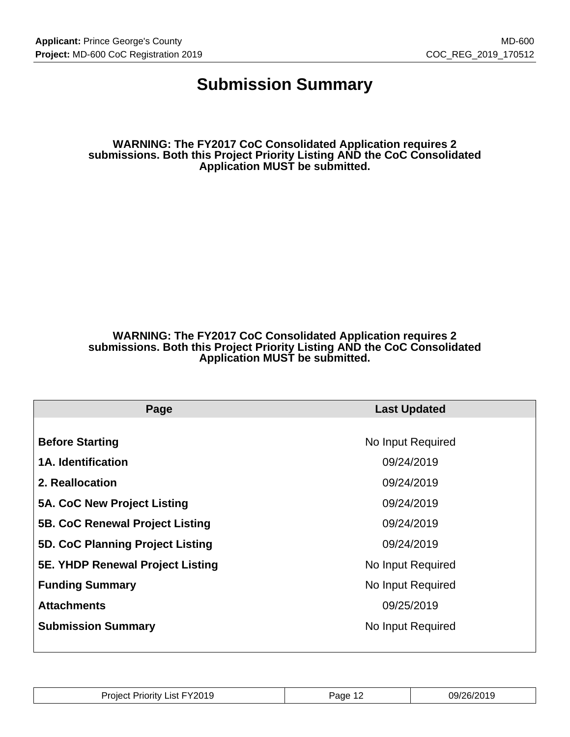### **Submission Summary**

**WARNING: The FY2017 CoC Consolidated Application requires 2 submissions. Both this Project Priority Listing AND the CoC Consolidated Application MUST be submitted.**

### **WARNING: The FY2017 CoC Consolidated Application requires 2 submissions. Both this Project Priority Listing AND the CoC Consolidated Application MUST be submitted.**

| Page                                    | <b>Last Updated</b> |
|-----------------------------------------|---------------------|
|                                         |                     |
| <b>Before Starting</b>                  | No Input Required   |
| <b>1A. Identification</b>               | 09/24/2019          |
| 2. Reallocation                         | 09/24/2019          |
| 5A. CoC New Project Listing             | 09/24/2019          |
| <b>5B. CoC Renewal Project Listing</b>  | 09/24/2019          |
| 5D. CoC Planning Project Listing        | 09/24/2019          |
| <b>5E. YHDP Renewal Project Listing</b> | No Input Required   |
| <b>Funding Summary</b>                  | No Input Required   |
| <b>Attachments</b>                      | 09/25/2019          |
| <b>Submission Summary</b>               | No Input Required   |
|                                         |                     |

| FY2019<br>.ist<br>Proiect<br>riority<br>IJ۲ | аае | 29/2<br>26/2019 |
|---------------------------------------------|-----|-----------------|
|                                             |     |                 |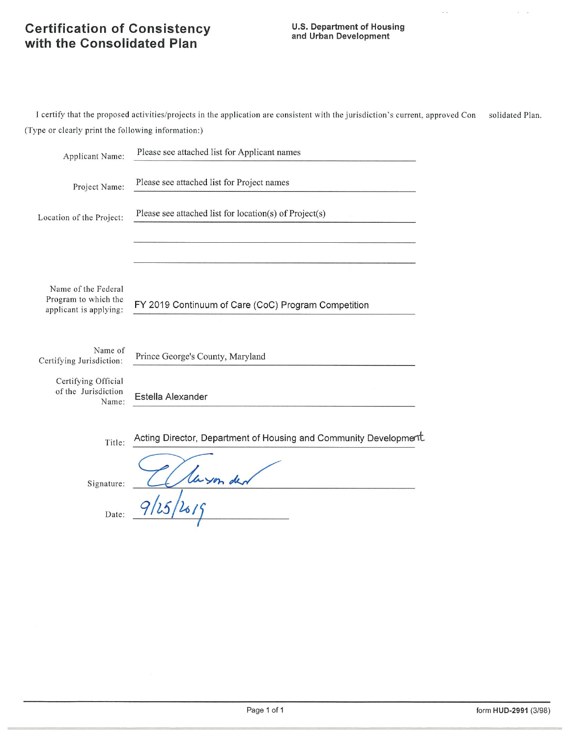# **Certification of Consistency**<br>with the Consolidated Plan

### **U.S. Department of Housing** and Urban Development

I certify that the proposed activities/projects in the application are consistent with the jurisdiction's current, approved Con solidated Plan. (Type or clearly print the following information:)

| Applicant Name:                                                       | Please see attached list for Applicant names                     |
|-----------------------------------------------------------------------|------------------------------------------------------------------|
| Project Name:                                                         | Please see attached list for Project names                       |
| Location of the Project:                                              | Please see attached list for location(s) of Project(s)           |
|                                                                       |                                                                  |
| Name of the Federal<br>Program to which the<br>applicant is applying: | FY 2019 Continuum of Care (CoC) Program Competition              |
| Name of<br>Certifying Jurisdiction:                                   | Prince George's County, Maryland                                 |
| Certifying Official<br>of the Jurisdiction<br>Name:                   | Estella Alexander                                                |
| Title:                                                                | Acting Director, Department of Housing and Community Development |
| Signature:                                                            |                                                                  |
| Date:                                                                 |                                                                  |